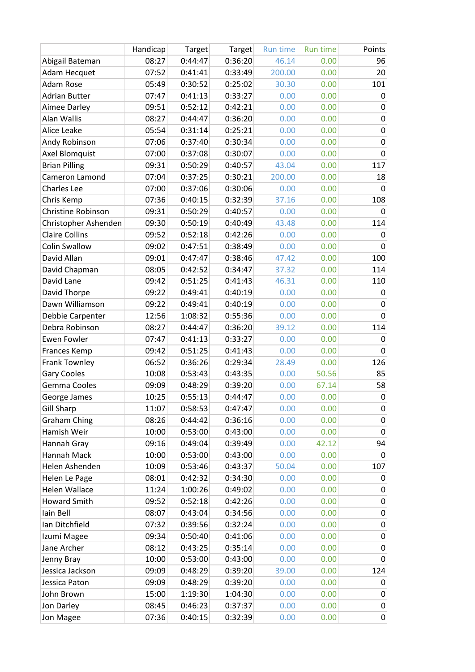|                           | Handicap | Target  | Target  | <b>Run time</b> | <b>Run time</b> | Points      |
|---------------------------|----------|---------|---------|-----------------|-----------------|-------------|
| Abigail Bateman           | 08:27    | 0:44:47 | 0:36:20 | 46.14           | 0.00            | 96          |
| Adam Hecquet              | 07:52    | 0:41:41 | 0:33:49 | 200.00          | 0.00            | 20          |
| Adam Rose                 | 05:49    | 0:30:52 | 0:25:02 | 30.30           | 0.00            | 101         |
| <b>Adrian Butter</b>      | 07:47    | 0:41:13 | 0:33:27 | 0.00            | 0.00            | 0           |
| Aimee Darley              | 09:51    | 0:52:12 | 0:42:21 | 0.00            | 0.00            | 0           |
| Alan Wallis               | 08:27    | 0:44:47 | 0:36:20 | 0.00            | 0.00            | 0           |
| Alice Leake               | 05:54    | 0:31:14 | 0:25:21 | 0.00            | 0.00            | $\pmb{0}$   |
| Andy Robinson             | 07:06    | 0:37:40 | 0:30:34 | 0.00            | 0.00            | 0           |
| <b>Axel Blomquist</b>     | 07:00    | 0:37:08 | 0:30:07 | 0.00            | 0.00            | 0           |
| <b>Brian Pilling</b>      | 09:31    | 0:50:29 | 0:40:57 | 43.04           | 0.00            | 117         |
| Cameron Lamond            | 07:04    | 0:37:25 | 0:30:21 | 200.00          | 0.00            | 18          |
| <b>Charles Lee</b>        | 07:00    | 0:37:06 | 0:30:06 | 0.00            | 0.00            | 0           |
| Chris Kemp                | 07:36    | 0:40:15 | 0:32:39 | 37.16           | 0.00            | 108         |
| <b>Christine Robinson</b> | 09:31    | 0:50:29 | 0:40:57 | 0.00            | 0.00            | 0           |
| Christopher Ashenden      | 09:30    | 0:50:19 | 0:40:49 | 43.48           | 0.00            | 114         |
| <b>Claire Collins</b>     | 09:52    | 0:52:18 | 0:42:26 | 0.00            | 0.00            | 0           |
| <b>Colin Swallow</b>      | 09:02    | 0:47:51 | 0:38:49 | 0.00            | 0.00            | $\mathbf 0$ |
| David Allan               | 09:01    | 0:47:47 | 0:38:46 | 47.42           | 0.00            | 100         |
| David Chapman             | 08:05    | 0:42:52 | 0:34:47 | 37.32           | 0.00            | 114         |
| David Lane                | 09:42    | 0:51:25 | 0:41:43 | 46.31           | 0.00            | 110         |
| David Thorpe              | 09:22    | 0:49:41 | 0:40:19 | 0.00            | 0.00            | 0           |
| Dawn Williamson           | 09:22    | 0:49:41 | 0:40:19 | 0.00            | 0.00            | 0           |
| Debbie Carpenter          | 12:56    | 1:08:32 | 0:55:36 | 0.00            | 0.00            | 0           |
| Debra Robinson            | 08:27    | 0:44:47 | 0:36:20 | 39.12           | 0.00            | 114         |
| <b>Ewen Fowler</b>        | 07:47    | 0:41:13 | 0:33:27 | 0.00            | 0.00            | 0           |
| <b>Frances Kemp</b>       | 09:42    | 0:51:25 | 0:41:43 | 0.00            | 0.00            | 0           |
| <b>Frank Townley</b>      | 06:52    | 0:36:26 | 0:29:34 | 28.49           | 0.00            | 126         |
| <b>Gary Cooles</b>        | 10:08    | 0:53:43 | 0:43:35 | 0.00            | 50.56           | 85          |
| Gemma Cooles              | 09:09    | 0:48:29 | 0:39:20 | 0.00            | 67.14           | 58          |
| George James              | 10:25    | 0:55:13 | 0:44:47 | 0.00            | 0.00            | $\pmb{0}$   |
| <b>Gill Sharp</b>         | 11:07    | 0:58:53 | 0:47:47 | 0.00            | 0.00            | 0           |
| <b>Graham Ching</b>       | 08:26    | 0:44:42 | 0:36:16 | 0.00            | 0.00            | 0           |
| Hamish Weir               | 10:00    | 0:53:00 | 0:43:00 | 0.00            | 0.00            | 0           |
| Hannah Gray               | 09:16    | 0:49:04 | 0:39:49 | 0.00            | 42.12           | 94          |
| Hannah Mack               | 10:00    | 0:53:00 | 0:43:00 | 0.00            | 0.00            | 0           |
| Helen Ashenden            | 10:09    | 0:53:46 | 0:43:37 | 50.04           | 0.00            | 107         |
| Helen Le Page             | 08:01    | 0:42:32 | 0:34:30 | 0.00            | 0.00            | 0           |
| <b>Helen Wallace</b>      | 11:24    | 1:00:26 | 0:49:02 | 0.00            | 0.00            | 0           |
| <b>Howard Smith</b>       | 09:52    | 0:52:18 | 0:42:26 | 0.00            | 0.00            | 0           |
| lain Bell                 | 08:07    | 0:43:04 | 0:34:56 | 0.00            | 0.00            | 0           |
| Ian Ditchfield            | 07:32    | 0:39:56 | 0:32:24 | 0.00            | 0.00            | $\pmb{0}$   |
| Izumi Magee               | 09:34    | 0:50:40 | 0:41:06 | 0.00            | 0.00            | 0           |
| Jane Archer               | 08:12    | 0:43:25 | 0:35:14 | 0.00            | 0.00            | 0           |
| Jenny Bray                | 10:00    | 0:53:00 | 0:43:00 | 0.00            | 0.00            | 0           |
| Jessica Jackson           | 09:09    | 0:48:29 | 0:39:20 | 39.00           | 0.00            | 124         |
| Jessica Paton             | 09:09    | 0:48:29 | 0:39:20 | 0.00            | 0.00            | 0           |
| John Brown                | 15:00    | 1:19:30 | 1:04:30 | 0.00            | 0.00            | 0           |
| Jon Darley                | 08:45    | 0:46:23 | 0:37:37 | 0.00            | 0.00            | $\pmb{0}$   |
| Jon Magee                 | 07:36    | 0:40:15 | 0:32:39 | 0.00            | 0.00            | 0           |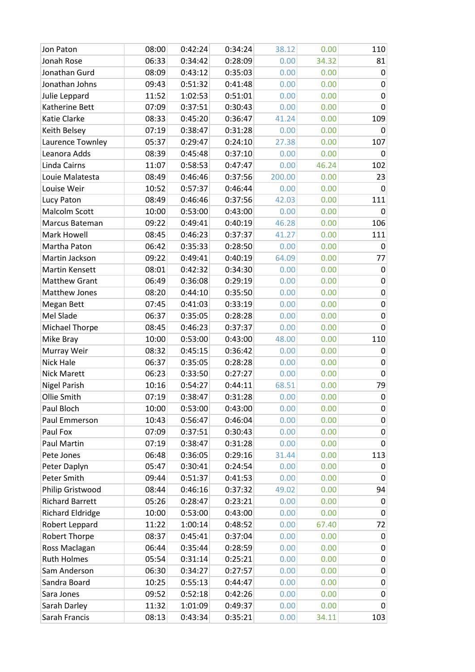| Jon Paton               | 08:00 | 0:42:24 | 0:34:24 | 38.12  | 0.00  | 110         |
|-------------------------|-------|---------|---------|--------|-------|-------------|
| Jonah Rose              | 06:33 | 0:34:42 | 0:28:09 | 0.00   | 34.32 | 81          |
| Jonathan Gurd           | 08:09 | 0:43:12 | 0:35:03 | 0.00   | 0.00  | 0           |
| Jonathan Johns          | 09:43 | 0:51:32 | 0:41:48 | 0.00   | 0.00  | 0           |
| Julie Leppard           | 11:52 | 1:02:53 | 0:51:01 | 0.00   | 0.00  | 0           |
| Katherine Bett          | 07:09 | 0:37:51 | 0:30:43 | 0.00   | 0.00  | 0           |
| Katie Clarke            | 08:33 | 0:45:20 | 0:36:47 | 41.24  | 0.00  | 109         |
| Keith Belsey            | 07:19 | 0:38:47 | 0:31:28 | 0.00   | 0.00  | 0           |
| Laurence Townley        | 05:37 | 0:29:47 | 0:24:10 | 27.38  | 0.00  | 107         |
| Leanora Adds            | 08:39 | 0:45:48 | 0:37:10 | 0.00   | 0.00  | 0           |
| Linda Cairns            | 11:07 | 0:58:53 | 0:47:47 | 0.00   | 46.24 | 102         |
| Louie Malatesta         | 08:49 | 0:46:46 | 0:37:56 | 200.00 | 0.00  | 23          |
| Louise Weir             | 10:52 | 0:57:37 | 0:46:44 | 0.00   | 0.00  | 0           |
| Lucy Paton              | 08:49 | 0:46:46 | 0:37:56 | 42.03  | 0.00  | 111         |
| Malcolm Scott           | 10:00 | 0:53:00 | 0:43:00 | 0.00   | 0.00  | 0           |
| Marcus Bateman          | 09:22 | 0:49:41 | 0:40:19 | 46.28  | 0.00  | 106         |
| Mark Howell             | 08:45 | 0:46:23 | 0:37:37 | 41.27  | 0.00  | 111         |
| Martha Paton            | 06:42 | 0:35:33 | 0:28:50 | 0.00   | 0.00  | $\mathbf 0$ |
| Martin Jackson          | 09:22 | 0:49:41 | 0:40:19 | 64.09  | 0.00  | 77          |
| Martin Kensett          | 08:01 | 0:42:32 | 0:34:30 | 0.00   | 0.00  | 0           |
| <b>Matthew Grant</b>    | 06:49 | 0:36:08 | 0:29:19 | 0.00   | 0.00  | 0           |
| Matthew Jones           | 08:20 | 0:44:10 | 0:35:50 | 0.00   | 0.00  | $\pmb{0}$   |
| Megan Bett              | 07:45 | 0:41:03 | 0:33:19 | 0.00   | 0.00  | 0           |
| Mel Slade               | 06:37 | 0:35:05 | 0:28:28 | 0.00   | 0.00  | 0           |
| Michael Thorpe          | 08:45 | 0:46:23 | 0:37:37 | 0.00   | 0.00  | 0           |
| Mike Bray               | 10:00 | 0:53:00 | 0:43:00 | 48.00  | 0.00  | 110         |
| Murray Weir             | 08:32 | 0:45:15 | 0:36:42 | 0.00   | 0.00  | 0           |
| Nick Hale               | 06:37 | 0:35:05 | 0:28:28 | 0.00   | 0.00  | 0           |
| <b>Nick Marett</b>      | 06:23 | 0:33:50 | 0:27:27 | 0.00   | 0.00  | 0           |
| <b>Nigel Parish</b>     | 10:16 | 0:54:27 | 0:44:11 | 68.51  | 0.00  | 79          |
| Ollie Smith             | 07:19 | 0:38:47 | 0:31:28 | 0.00   | 0.00  | 0           |
| Paul Bloch              | 10:00 | 0:53:00 | 0:43:00 | 0.00   | 0.00  | 0           |
| Paul Emmerson           | 10:43 | 0:56:47 | 0:46:04 | 0.00   | 0.00  | 0           |
| Paul Fox                | 07:09 | 0:37:51 | 0:30:43 | 0.00   | 0.00  | $\pmb{0}$   |
| Paul Martin             | 07:19 | 0:38:47 | 0:31:28 | 0.00   | 0.00  | 0           |
| Pete Jones              | 06:48 | 0:36:05 | 0:29:16 | 31.44  | 0.00  | 113         |
| Peter Daplyn            | 05:47 | 0:30:41 | 0:24:54 | 0.00   | 0.00  | 0           |
| Peter Smith             | 09:44 | 0:51:37 | 0:41:53 | 0.00   | 0.00  | 0           |
| Philip Gristwood        | 08:44 | 0:46:16 | 0:37:32 | 49.02  | 0.00  | 94          |
| <b>Richard Barrett</b>  | 05:26 | 0:28:47 | 0:23:21 | 0.00   | 0.00  | 0           |
| <b>Richard Eldridge</b> | 10:00 | 0:53:00 | 0:43:00 | 0.00   | 0.00  | 0           |
| Robert Leppard          | 11:22 | 1:00:14 | 0:48:52 | 0.00   | 67.40 | 72          |
| <b>Robert Thorpe</b>    | 08:37 | 0:45:41 | 0:37:04 | 0.00   | 0.00  | 0           |
| Ross Maclagan           | 06:44 | 0:35:44 | 0:28:59 | 0.00   | 0.00  | 0           |
| <b>Ruth Holmes</b>      | 05:54 | 0:31:14 | 0:25:21 | 0.00   | 0.00  | 0           |
| Sam Anderson            | 06:30 | 0:34:27 | 0:27:57 | 0.00   | 0.00  | 0           |
| Sandra Board            | 10:25 | 0:55:13 | 0:44:47 | 0.00   | 0.00  | 0           |
| Sara Jones              | 09:52 | 0:52:18 | 0:42:26 | 0.00   | 0.00  | 0           |
| Sarah Darley            | 11:32 | 1:01:09 | 0:49:37 | 0.00   | 0.00  | 0           |
| Sarah Francis           | 08:13 | 0:43:34 | 0:35:21 | 0.00   | 34.11 | 103         |